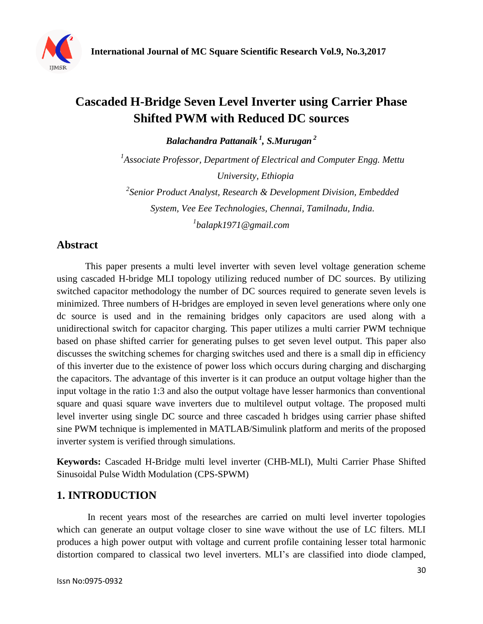

# **Cascaded H-Bridge Seven Level Inverter using Carrier Phase Shifted PWM with Reduced DC sources**

*Balachandra Pattanaik <sup>1</sup> , S.Murugan <sup>2</sup>*

<sup>1</sup> Associate Professor, Department of Electrical and Computer Engg. Mettu *University, Ethiopia*

*2 Senior Product Analyst, Research & Development Division, Embedded System, Vee Eee Technologies, Chennai, Tamilnadu, India. 1 balapk1971@gmail.com*

# **Abstract**

This paper presents a multi level inverter with seven level voltage generation scheme using cascaded H-bridge MLI topology utilizing reduced number of DC sources. By utilizing switched capacitor methodology the number of DC sources required to generate seven levels is minimized. Three numbers of H-bridges are employed in seven level generations where only one dc source is used and in the remaining bridges only capacitors are used along with a unidirectional switch for capacitor charging. This paper utilizes a multi carrier PWM technique based on phase shifted carrier for generating pulses to get seven level output. This paper also discusses the switching schemes for charging switches used and there is a small dip in efficiency of this inverter due to the existence of power loss which occurs during charging and discharging the capacitors. The advantage of this inverter is it can produce an output voltage higher than the input voltage in the ratio 1:3 and also the output voltage have lesser harmonics than conventional square and quasi square wave inverters due to multilevel output voltage. The proposed multi level inverter using single DC source and three cascaded h bridges using carrier phase shifted sine PWM technique is implemented in MATLAB/Simulink platform and merits of the proposed inverter system is verified through simulations.

**Keywords:** Cascaded H-Bridge multi level inverter (CHB-MLI), Multi Carrier Phase Shifted Sinusoidal Pulse Width Modulation (CPS-SPWM)

## **1. INTRODUCTION**

 In recent years most of the researches are carried on multi level inverter topologies which can generate an output voltage closer to sine wave without the use of LC filters. MLI produces a high power output with voltage and current profile containing lesser total harmonic distortion compared to classical two level inverters. MLI's are classified into diode clamped,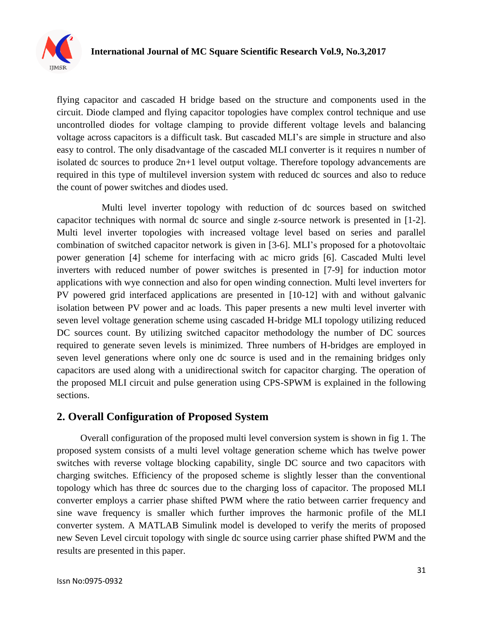

flying capacitor and cascaded H bridge based on the structure and components used in the circuit. Diode clamped and flying capacitor topologies have complex control technique and use uncontrolled diodes for voltage clamping to provide different voltage levels and balancing voltage across capacitors is a difficult task. But cascaded MLI's are simple in structure and also easy to control. The only disadvantage of the cascaded MLI converter is it requires n number of isolated dc sources to produce 2n+1 level output voltage. Therefore topology advancements are required in this type of multilevel inversion system with reduced dc sources and also to reduce the count of power switches and diodes used.

 Multi level inverter topology with reduction of dc sources based on switched capacitor techniques with normal dc source and single z-source network is presented in [1-2]. Multi level inverter topologies with increased voltage level based on series and parallel combination of switched capacitor network is given in [3-6]. MLI's proposed for a photovoltaic power generation [4] scheme for interfacing with ac micro grids [6]. Cascaded Multi level inverters with reduced number of power switches is presented in [7-9] for induction motor applications with wye connection and also for open winding connection. Multi level inverters for PV powered grid interfaced applications are presented in [10-12] with and without galvanic isolation between PV power and ac loads. This paper presents a new multi level inverter with seven level voltage generation scheme using cascaded H-bridge MLI topology utilizing reduced DC sources count. By utilizing switched capacitor methodology the number of DC sources required to generate seven levels is minimized. Three numbers of H-bridges are employed in seven level generations where only one dc source is used and in the remaining bridges only capacitors are used along with a unidirectional switch for capacitor charging. The operation of the proposed MLI circuit and pulse generation using CPS-SPWM is explained in the following sections.

### **2. Overall Configuration of Proposed System**

 Overall configuration of the proposed multi level conversion system is shown in fig 1. The proposed system consists of a multi level voltage generation scheme which has twelve power switches with reverse voltage blocking capability, single DC source and two capacitors with charging switches. Efficiency of the proposed scheme is slightly lesser than the conventional topology which has three dc sources due to the charging loss of capacitor. The proposed MLI converter employs a carrier phase shifted PWM where the ratio between carrier frequency and sine wave frequency is smaller which further improves the harmonic profile of the MLI converter system. A MATLAB Simulink model is developed to verify the merits of proposed new Seven Level circuit topology with single dc source using carrier phase shifted PWM and the results are presented in this paper.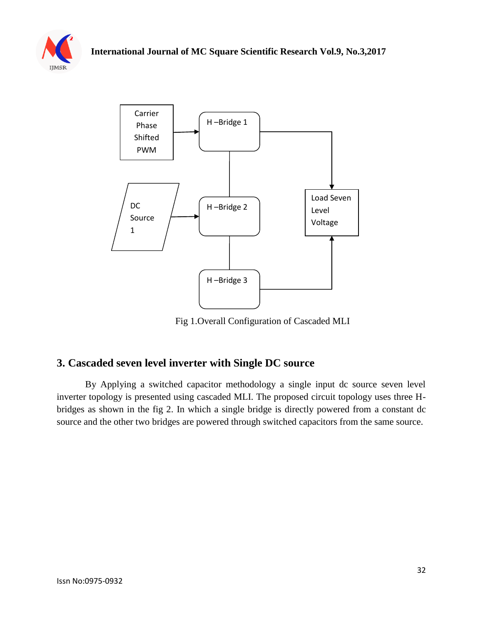



Fig 1.Overall Configuration of Cascaded MLI

## **3. Cascaded seven level inverter with Single DC source**

By Applying a switched capacitor methodology a single input dc source seven level inverter topology is presented using cascaded MLI. The proposed circuit topology uses three Hbridges as shown in the fig 2. In which a single bridge is directly powered from a constant dc source and the other two bridges are powered through switched capacitors from the same source.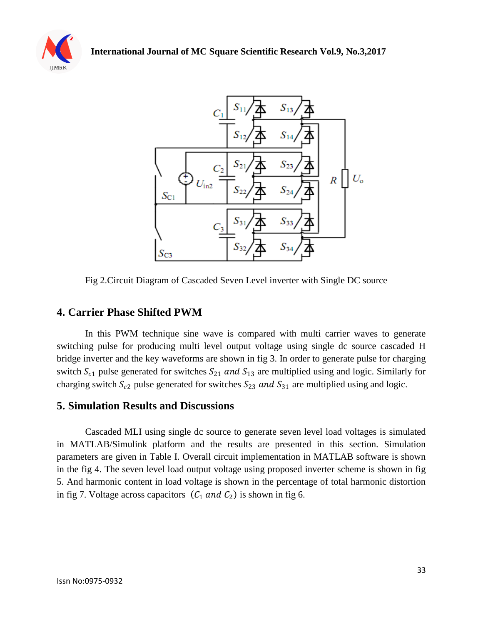



Fig 2.Circuit Diagram of Cascaded Seven Level inverter with Single DC source

### **4. Carrier Phase Shifted PWM**

In this PWM technique sine wave is compared with multi carrier waves to generate switching pulse for producing multi level output voltage using single dc source cascaded H bridge inverter and the key waveforms are shown in fig 3. In order to generate pulse for charging switch  $S_{c1}$  pulse generated for switches  $S_{21}$  and  $S_{13}$  are multiplied using and logic. Similarly for charging switch  $S_{c2}$  pulse generated for switches  $S_{23}$  and  $S_{31}$  are multiplied using and logic.

#### **5. Simulation Results and Discussions**

Cascaded MLI using single dc source to generate seven level load voltages is simulated in MATLAB/Simulink platform and the results are presented in this section. Simulation parameters are given in Table I. Overall circuit implementation in MATLAB software is shown in the fig 4. The seven level load output voltage using proposed inverter scheme is shown in fig 5. And harmonic content in load voltage is shown in the percentage of total harmonic distortion in fig 7. Voltage across capacitors  $(C_1 \text{ and } C_2)$  is shown in fig 6.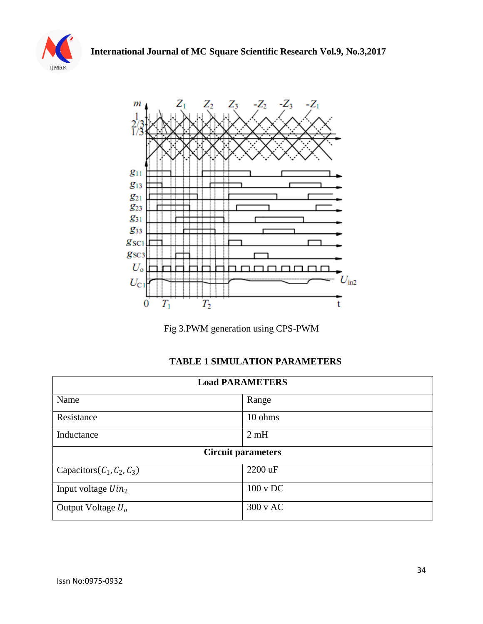



Fig 3.PWM generation using CPS-PWM

## **TABLE 1 SIMULATION PARAMETERS**

| <b>Load PARAMETERS</b>       |                     |  |
|------------------------------|---------------------|--|
| Name                         | Range               |  |
| Resistance                   | 10 ohms             |  |
| Inductance                   | 2mH                 |  |
| <b>Circuit parameters</b>    |                     |  |
| Capacitors $(C_1, C_2, C_3)$ | 2200 uF             |  |
| Input voltage $Uin_2$        | $100 \text{ v }$ DC |  |
| Output Voltage $U_0$         | $300 \text{ v } AC$ |  |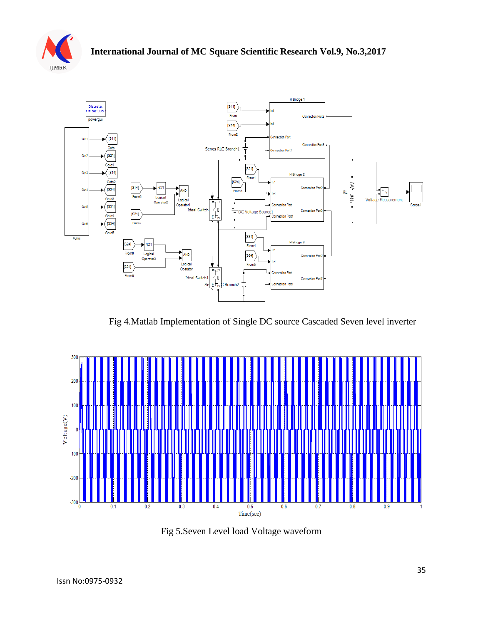



Fig 4.Matlab Implementation of Single DC source Cascaded Seven level inverter



Fig 5.Seven Level load Voltage waveform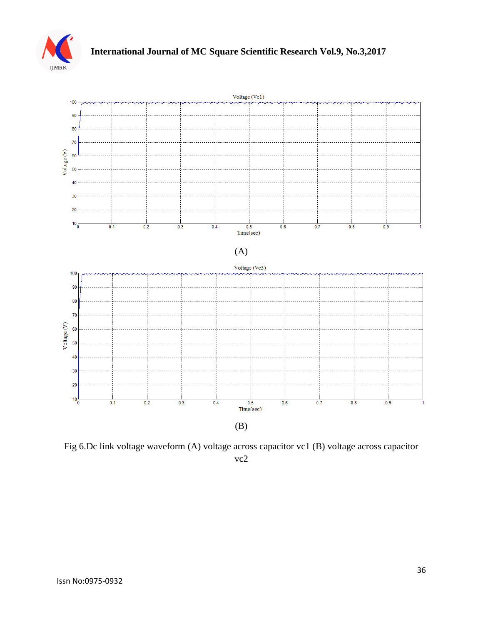



Fig 6.Dc link voltage waveform (A) voltage across capacitor vc1 (B) voltage across capacitor vc2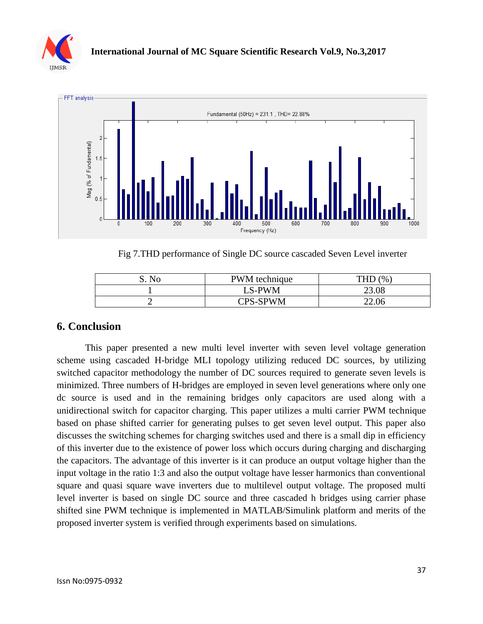



Fig 7.THD performance of Single DC source cascaded Seven Level inverter

| No | PWM technique | (%    |
|----|---------------|-------|
|    | LS-PWM        | 23.08 |
|    | CPS-SPWM      | 22.06 |

### **6. Conclusion**

This paper presented a new multi level inverter with seven level voltage generation scheme using cascaded H-bridge MLI topology utilizing reduced DC sources, by utilizing switched capacitor methodology the number of DC sources required to generate seven levels is minimized. Three numbers of H-bridges are employed in seven level generations where only one dc source is used and in the remaining bridges only capacitors are used along with a unidirectional switch for capacitor charging. This paper utilizes a multi carrier PWM technique based on phase shifted carrier for generating pulses to get seven level output. This paper also discusses the switching schemes for charging switches used and there is a small dip in efficiency of this inverter due to the existence of power loss which occurs during charging and discharging the capacitors. The advantage of this inverter is it can produce an output voltage higher than the input voltage in the ratio 1:3 and also the output voltage have lesser harmonics than conventional square and quasi square wave inverters due to multilevel output voltage. The proposed multi level inverter is based on single DC source and three cascaded h bridges using carrier phase shifted sine PWM technique is implemented in MATLAB/Simulink platform and merits of the proposed inverter system is verified through experiments based on simulations.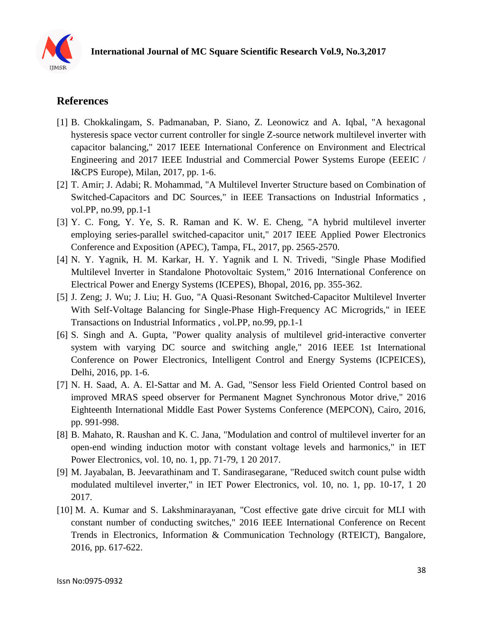

## **References**

- [1] B. Chokkalingam, S. Padmanaban, P. Siano, Z. Leonowicz and A. Iqbal, "A hexagonal hysteresis space vector current controller for single Z-source network multilevel inverter with capacitor balancing," 2017 IEEE International Conference on Environment and Electrical Engineering and 2017 IEEE Industrial and Commercial Power Systems Europe (EEEIC / I&CPS Europe), Milan, 2017, pp. 1-6.
- [2] T. Amir; J. Adabi; R. Mohammad, "A Multilevel Inverter Structure based on Combination of Switched-Capacitors and DC Sources," in IEEE Transactions on Industrial Informatics , vol.PP, no.99, pp.1-1
- [3] Y. C. Fong, Y. Ye, S. R. Raman and K. W. E. Cheng, "A hybrid multilevel inverter employing series-parallel switched-capacitor unit," 2017 IEEE Applied Power Electronics Conference and Exposition (APEC), Tampa, FL, 2017, pp. 2565-2570.
- [4] N. Y. Yagnik, H. M. Karkar, H. Y. Yagnik and I. N. Trivedi, "Single Phase Modified Multilevel Inverter in Standalone Photovoltaic System," 2016 International Conference on Electrical Power and Energy Systems (ICEPES), Bhopal, 2016, pp. 355-362.
- [5] J. Zeng; J. Wu; J. Liu; H. Guo, "A Quasi-Resonant Switched-Capacitor Multilevel Inverter With Self-Voltage Balancing for Single-Phase High-Frequency AC Microgrids," in IEEE Transactions on Industrial Informatics , vol.PP, no.99, pp.1-1
- [6] S. Singh and A. Gupta, "Power quality analysis of multilevel grid-interactive converter system with varying DC source and switching angle," 2016 IEEE 1st International Conference on Power Electronics, Intelligent Control and Energy Systems (ICPEICES), Delhi, 2016, pp. 1-6.
- [7] N. H. Saad, A. A. El-Sattar and M. A. Gad, "Sensor less Field Oriented Control based on improved MRAS speed observer for Permanent Magnet Synchronous Motor drive," 2016 Eighteenth International Middle East Power Systems Conference (MEPCON), Cairo, 2016, pp. 991-998.
- [8] B. Mahato, R. Raushan and K. C. Jana, "Modulation and control of multilevel inverter for an open-end winding induction motor with constant voltage levels and harmonics," in IET Power Electronics, vol. 10, no. 1, pp. 71-79, 1 20 2017.
- [9] M. Jayabalan, B. Jeevarathinam and T. Sandirasegarane, "Reduced switch count pulse width modulated multilevel inverter," in IET Power Electronics, vol. 10, no. 1, pp. 10-17, 1 20 2017.
- [10] M. A. Kumar and S. Lakshminarayanan, "Cost effective gate drive circuit for MLI with constant number of conducting switches," 2016 IEEE International Conference on Recent Trends in Electronics, Information & Communication Technology (RTEICT), Bangalore, 2016, pp. 617-622.